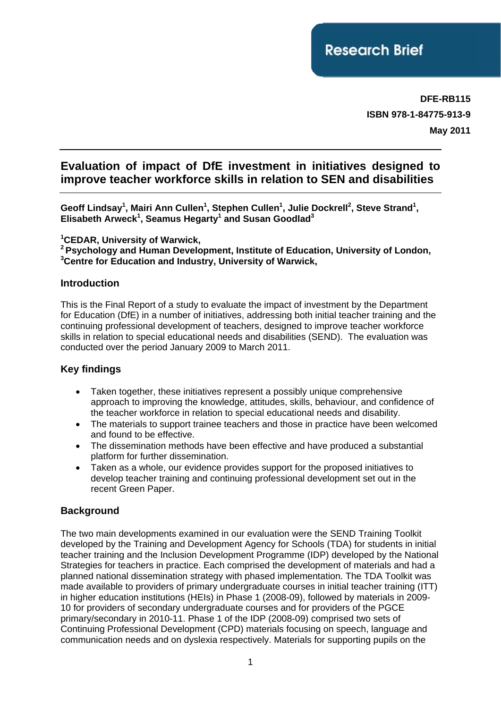**DFE-RB115 ISBN 978-1-84775-913-9 May 2011**

# **Evaluation of impact of DfE investment in initiatives designed to improve teacher workforce skills in relation to SEN and disabilities**

Geoff Lindsay<sup>1</sup>, Mairi Ann Cullen<sup>1</sup>, Stephen Cullen<sup>1</sup>, Julie Dockrell<sup>2</sup>, Steve Strand<sup>1</sup>, **Elisabeth Arweck<sup>1</sup> , Seamus Hegarty1 and Susan Goodlad3**

**1 CEDAR, University of Warwick,** 

**2 Psychology and Human Development, Institute of Education, University of London, 3 Centre for Education and Industry, University of Warwick,** 

## **Introduction**

This is the Final Report of a study to evaluate the impact of investment by the Department for Education (DfE) in a number of initiatives, addressing both initial teacher training and the continuing professional development of teachers, designed to improve teacher workforce skills in relation to special educational needs and disabilities (SEND). The evaluation was conducted over the period January 2009 to March 2011.

## **Key findings**

- Taken together, these initiatives represent a possibly unique comprehensive approach to improving the knowledge, attitudes, skills, behaviour, and confidence of the teacher workforce in relation to special educational needs and disability.
- The materials to support trainee teachers and those in practice have been welcomed and found to be effective.
- The dissemination methods have been effective and have produced a substantial platform for further dissemination.
- Taken as a whole, our evidence provides support for the proposed initiatives to develop teacher training and continuing professional development set out in the recent Green Paper.

## **Background**

The two main developments examined in our evaluation were the SEND Training Toolkit developed by the Training and Development Agency for Schools (TDA) for students in initial teacher training and the Inclusion Development Programme (IDP) developed by the National Strategies for teachers in practice. Each comprised the development of materials and had a planned national dissemination strategy with phased implementation. The TDA Toolkit was made available to providers of primary undergraduate courses in initial teacher training (ITT) in higher education institutions (HEIs) in Phase 1 (2008-09), followed by materials in 2009- 10 for providers of secondary undergraduate courses and for providers of the PGCE primary/secondary in 2010-11. Phase 1 of the IDP (2008-09) comprised two sets of Continuing Professional Development (CPD) materials focusing on speech, language and communication needs and on dyslexia respectively. Materials for supporting pupils on the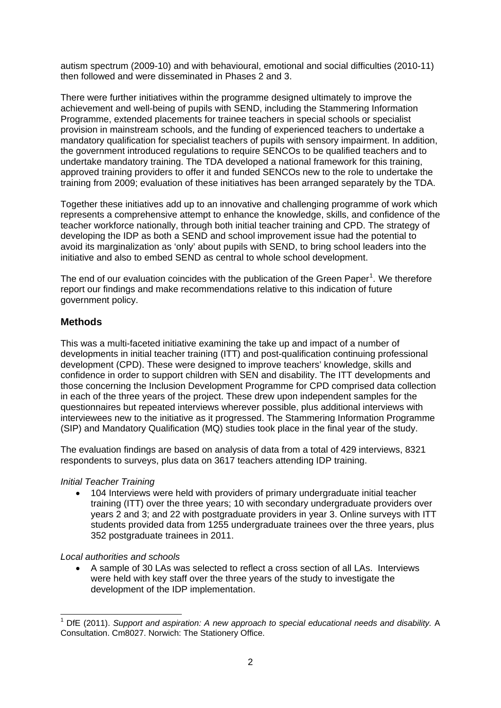autism spectrum (2009-10) and with behavioural, emotional and social difficulties (2010-11) then followed and were disseminated in Phases 2 and 3.

There were further initiatives within the programme designed ultimately to improve the achievement and well-being of pupils with SEND, including the Stammering Information Programme, extended placements for trainee teachers in special schools or specialist provision in mainstream schools, and the funding of experienced teachers to undertake a mandatory qualification for specialist teachers of pupils with sensory impairment. In addition, the government introduced regulations to require SENCOs to be qualified teachers and to undertake mandatory training. The TDA developed a national framework for this training, approved training providers to offer it and funded SENCOs new to the role to undertake the training from 2009; evaluation of these initiatives has been arranged separately by the TDA.

Together these initiatives add up to an innovative and challenging programme of work which represents a comprehensive attempt to enhance the knowledge, skills, and confidence of the teacher workforce nationally, through both initial teacher training and CPD. The strategy of developing the IDP as both a SEND and school improvement issue had the potential to avoid its marginalization as 'only' about pupils with SEND, to bring school leaders into the initiative and also to embed SEND as central to whole school development.

The end of our evaluation coincides with the publication of the Green Paper<sup>[1](#page-1-0)</sup>. We therefore report our findings and make recommendations relative to this indication of future government policy.

## **Methods**

This was a multi-faceted initiative examining the take up and impact of a number of developments in initial teacher training (ITT) and post-qualification continuing professional development (CPD). These were designed to improve teachers' knowledge, skills and confidence in order to support children with SEN and disability. The ITT developments and those concerning the Inclusion Development Programme for CPD comprised data collection in each of the three years of the project. These drew upon independent samples for the questionnaires but repeated interviews wherever possible, plus additional interviews with interviewees new to the initiative as it progressed. The Stammering Information Programme (SIP) and Mandatory Qualification (MQ) studies took place in the final year of the study.

The evaluation findings are based on analysis of data from a total of 429 interviews, 8321 respondents to surveys, plus data on 3617 teachers attending IDP training.

### *Initial Teacher Training*

• 104 Interviews were held with providers of primary undergraduate initial teacher training (ITT) over the three years; 10 with secondary undergraduate providers over years 2 and 3; and 22 with postgraduate providers in year 3. Online surveys with ITT students provided data from 1255 undergraduate trainees over the three years, plus 352 postgraduate trainees in 2011.

#### *Local authorities and schools*

1

• A sample of 30 LAs was selected to reflect a cross section of all LAs. Interviews were held with key staff over the three years of the study to investigate the development of the IDP implementation.

<span id="page-1-0"></span><sup>1</sup> DfE (2011). *Support and aspiration: A new approach to special educational needs and disability.* A Consultation. Cm8027. Norwich: The Stationery Office.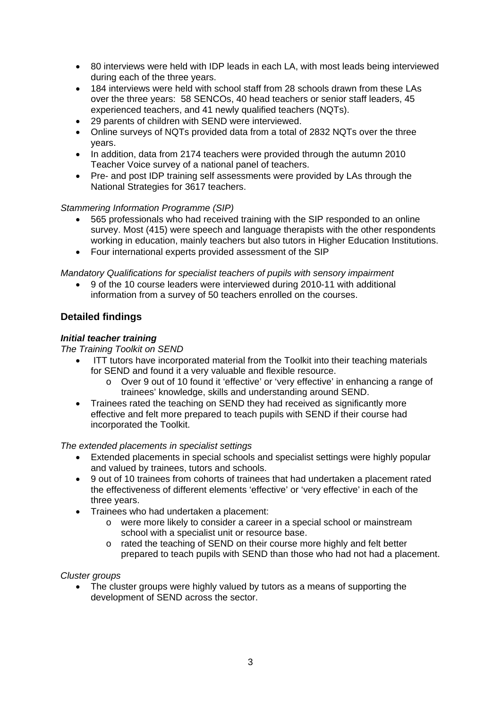- 80 interviews were held with IDP leads in each LA, with most leads being interviewed during each of the three years.
- 184 interviews were held with school staff from 28 schools drawn from these LAs over the three years: 58 SENCOs, 40 head teachers or senior staff leaders, 45 experienced teachers, and 41 newly qualified teachers (NQTs).
- 29 parents of children with SEND were interviewed.
- Online surveys of NQTs provided data from a total of 2832 NQTs over the three years.
- In addition, data from 2174 teachers were provided through the autumn 2010 Teacher Voice survey of a national panel of teachers.
- Pre- and post IDP training self assessments were provided by LAs through the National Strategies for 3617 teachers.

### *Stammering Information Programme (SIP)*

- 565 professionals who had received training with the SIP responded to an online survey. Most (415) were speech and language therapists with the other respondents working in education, mainly teachers but also tutors in Higher Education Institutions.
- Four international experts provided assessment of the SIP

#### *Mandatory Qualifications for specialist teachers of pupils with sensory impairment*

• 9 of the 10 course leaders were interviewed during 2010-11 with additional information from a survey of 50 teachers enrolled on the courses.

## **Detailed findings**

#### *Initial teacher training*

#### *The Training Toolkit on SEND*

- ITT tutors have incorporated material from the Toolkit into their teaching materials for SEND and found it a very valuable and flexible resource.
	- o Over 9 out of 10 found it 'effective' or 'very effective' in enhancing a range of trainees' knowledge, skills and understanding around SEND.
- Trainees rated the teaching on SEND they had received as significantly more effective and felt more prepared to teach pupils with SEND if their course had incorporated the Toolkit.

#### *The extended placements in specialist settings*

- Extended placements in special schools and specialist settings were highly popular and valued by trainees, tutors and schools.
- 9 out of 10 trainees from cohorts of trainees that had undertaken a placement rated the effectiveness of different elements 'effective' or 'very effective' in each of the three years.
- Trainees who had undertaken a placement:
	- o were more likely to consider a career in a special school or mainstream school with a specialist unit or resource base.
	- o rated the teaching of SEND on their course more highly and felt better prepared to teach pupils with SEND than those who had not had a placement.

#### *Cluster groups*

The cluster groups were highly valued by tutors as a means of supporting the development of SEND across the sector.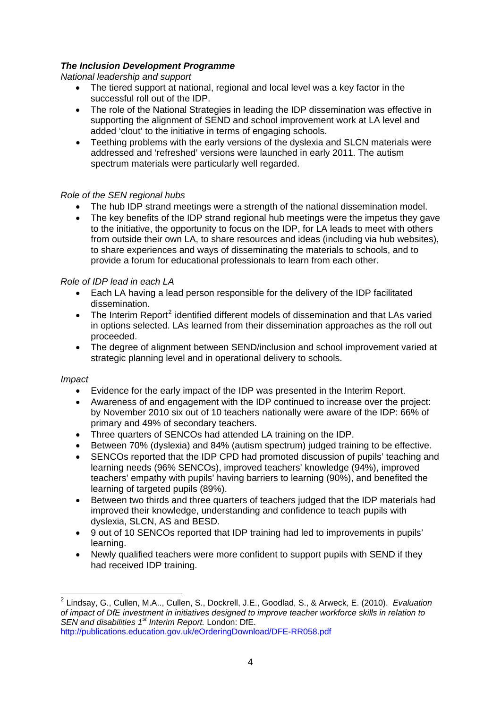## *The Inclusion Development Programme*

### *National leadership and support*

- The tiered support at national, regional and local level was a key factor in the successful roll out of the IDP.
- The role of the National Strategies in leading the IDP dissemination was effective in supporting the alignment of SEND and school improvement work at LA level and added 'clout' to the initiative in terms of engaging schools.
- Teething problems with the early versions of the dyslexia and SLCN materials were addressed and 'refreshed' versions were launched in early 2011. The autism spectrum materials were particularly well regarded.

### *Role of the SEN regional hubs*

- The hub IDP strand meetings were a strength of the national dissemination model.
- The key benefits of the IDP strand regional hub meetings were the impetus they gave to the initiative, the opportunity to focus on the IDP, for LA leads to meet with others from outside their own LA, to share resources and ideas (including via hub websites), to share experiences and ways of disseminating the materials to schools, and to provide a forum for educational professionals to learn from each other.

#### *Role of IDP lead in each LA*

- Each LA having a lead person responsible for the delivery of the IDP facilitated dissemination.
- The Interim Report<sup>[2](#page-3-0)</sup> identified different models of dissemination and that LAs varied in options selected. LAs learned from their dissemination approaches as the roll out proceeded.
- The degree of alignment between SEND/inclusion and school improvement varied at strategic planning level and in operational delivery to schools.

#### *Impact*

-

- Evidence for the early impact of the IDP was presented in the Interim Report.
- Awareness of and engagement with the IDP continued to increase over the project: by November 2010 six out of 10 teachers nationally were aware of the IDP: 66% of primary and 49% of secondary teachers.
- Three quarters of SENCOs had attended LA training on the IDP.
- Between 70% (dyslexia) and 84% (autism spectrum) judged training to be effective.
- SENCOs reported that the IDP CPD had promoted discussion of pupils' teaching and learning needs (96% SENCOs), improved teachers' knowledge (94%), improved teachers' empathy with pupils' having barriers to learning (90%), and benefited the learning of targeted pupils (89%).
- Between two thirds and three quarters of teachers judged that the IDP materials had improved their knowledge, understanding and confidence to teach pupils with dyslexia, SLCN, AS and BESD.
- 9 out of 10 SENCOs reported that IDP training had led to improvements in pupils' learning.
- Newly qualified teachers were more confident to support pupils with SEND if they had received IDP training.

<span id="page-3-0"></span><sup>2</sup> Lindsay, G., Cullen, M.A.., Cullen, S., Dockrell, J.E., Goodlad, S., & Arweck, E. (2010). *Evaluation of impact of DfE investment in initiatives designed to improve teacher workforce skills in relation to SEN and disabilities 1st Interim Report.* London: DfE. <http://publications.education.gov.uk/eOrderingDownload/DFE-RR058.pdf>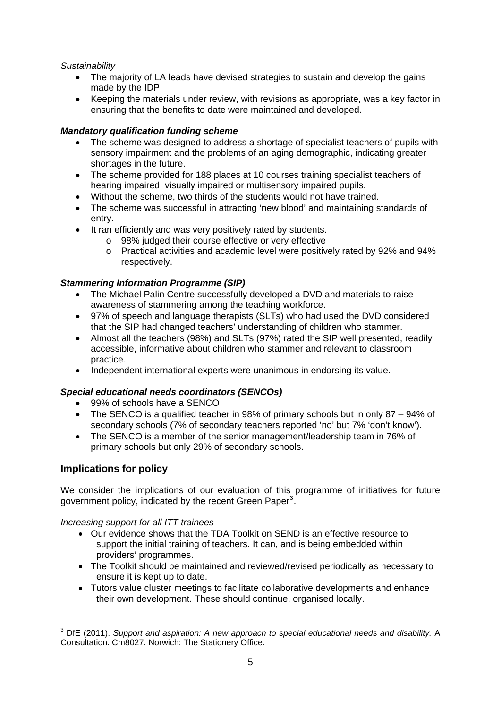## *Sustainability*

- The majority of LA leads have devised strategies to sustain and develop the gains made by the IDP.
- Keeping the materials under review, with revisions as appropriate, was a key factor in ensuring that the benefits to date were maintained and developed.

## *Mandatory qualification funding scheme*

- The scheme was designed to address a shortage of specialist teachers of pupils with sensory impairment and the problems of an aging demographic, indicating greater shortages in the future.
- The scheme provided for 188 places at 10 courses training specialist teachers of hearing impaired, visually impaired or multisensory impaired pupils.
- Without the scheme, two thirds of the students would not have trained.
- The scheme was successful in attracting 'new blood' and maintaining standards of entry.
- It ran efficiently and was very positively rated by students.
	- o 98% judged their course effective or very effective
	- o Practical activities and academic level were positively rated by 92% and 94% respectively.

## *Stammering Information Programme (SIP)*

- The Michael Palin Centre successfully developed a DVD and materials to raise awareness of stammering among the teaching workforce.
- 97% of speech and language therapists (SLTs) who had used the DVD considered that the SIP had changed teachers' understanding of children who stammer.
- Almost all the teachers (98%) and SLTs (97%) rated the SIP well presented, readily accessible, informative about children who stammer and relevant to classroom practice.
- Independent international experts were unanimous in endorsing its value.

## *Special educational needs coordinators (SENCOs)*

- 99% of schools have a SENCO
- The SENCO is a qualified teacher in 98% of primary schools but in only 87 94% of secondary schools (7% of secondary teachers reported 'no' but 7% 'don't know').
- The SENCO is a member of the senior management/leadership team in 76% of primary schools but only 29% of secondary schools.

## **Implications for policy**

We consider the implications of our evaluation of this programme of initiatives for future government policy, indicated by the recent Green Paper<sup>[3](#page-4-0)</sup>.

*Increasing support for all ITT trainees* 

- Our evidence shows that the TDA Toolkit on SEND is an effective resource to support the initial training of teachers. It can, and is being embedded within providers' programmes.
- The Toolkit should be maintained and reviewed/revised periodically as necessary to ensure it is kept up to date.
- Tutors value cluster meetings to facilitate collaborative developments and enhance their own development. These should continue, organised locally.

<span id="page-4-0"></span> 3 DfE (2011). *Support and aspiration: A new approach to special educational needs and disability.* A Consultation. Cm8027. Norwich: The Stationery Office.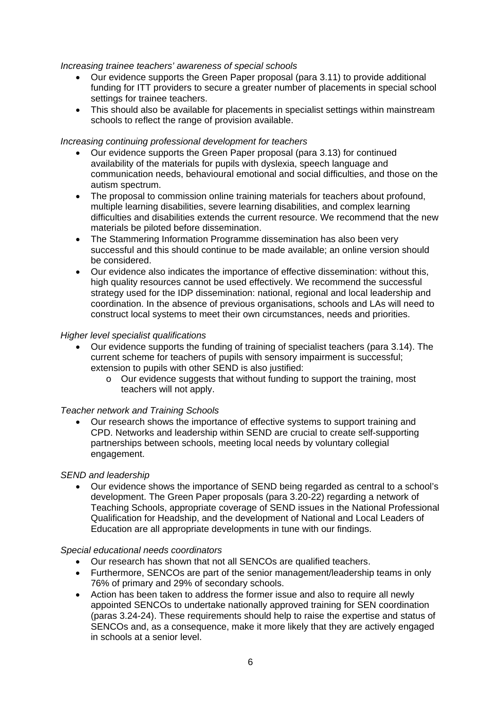*Increasing trainee teachers' awareness of special schools* 

- Our evidence supports the Green Paper proposal (para 3.11) to provide additional funding for ITT providers to secure a greater number of placements in special school settings for trainee teachers.
- This should also be available for placements in specialist settings within mainstream schools to reflect the range of provision available.

#### *Increasing continuing professional development for teachers*

- Our evidence supports the Green Paper proposal (para 3.13) for continued availability of the materials for pupils with dyslexia, speech language and communication needs, behavioural emotional and social difficulties, and those on the autism spectrum.
- The proposal to commission online training materials for teachers about profound, multiple learning disabilities, severe learning disabilities, and complex learning difficulties and disabilities extends the current resource. We recommend that the new materials be piloted before dissemination.
- The Stammering Information Programme dissemination has also been very successful and this should continue to be made available; an online version should be considered.
- Our evidence also indicates the importance of effective dissemination: without this, high quality resources cannot be used effectively. We recommend the successful strategy used for the IDP dissemination: national, regional and local leadership and coordination. In the absence of previous organisations, schools and LAs will need to construct local systems to meet their own circumstances, needs and priorities.

#### *Higher level specialist qualifications*

- Our evidence supports the funding of training of specialist teachers (para 3.14). The current scheme for teachers of pupils with sensory impairment is successful; extension to pupils with other SEND is also justified:
	- o Our evidence suggests that without funding to support the training, most teachers will not apply.

### *Teacher network and Training Schools*

• Our research shows the importance of effective systems to support training and CPD. Networks and leadership within SEND are crucial to create self-supporting partnerships between schools, meeting local needs by voluntary collegial engagement.

#### *SEND and leadership*

• Our evidence shows the importance of SEND being regarded as central to a school's development. The Green Paper proposals (para 3.20-22) regarding a network of Teaching Schools, appropriate coverage of SEND issues in the National Professional Qualification for Headship, and the development of National and Local Leaders of Education are all appropriate developments in tune with our findings.

### *Special educational needs coordinators*

- Our research has shown that not all SENCOs are qualified teachers.
- Furthermore, SENCOs are part of the senior management/leadership teams in only 76% of primary and 29% of secondary schools.
- Action has been taken to address the former issue and also to require all newly appointed SENCOs to undertake nationally approved training for SEN coordination (paras 3.24-24). These requirements should help to raise the expertise and status of SENCOs and, as a consequence, make it more likely that they are actively engaged in schools at a senior level.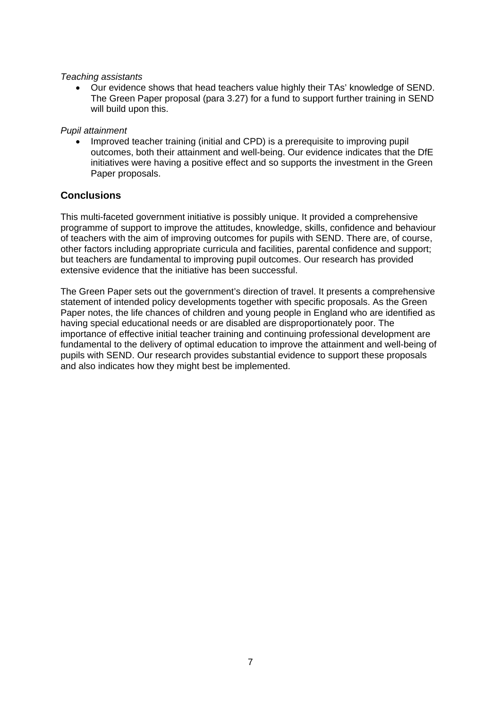#### *Teaching assistants*

• Our evidence shows that head teachers value highly their TAs' knowledge of SEND. The Green Paper proposal (para 3.27) for a fund to support further training in SEND will build upon this.

### *Pupil attainment*

• Improved teacher training (initial and CPD) is a prerequisite to improving pupil outcomes, both their attainment and well-being. Our evidence indicates that the DfE initiatives were having a positive effect and so supports the investment in the Green Paper proposals.

## **Conclusions**

This multi-faceted government initiative is possibly unique. It provided a comprehensive programme of support to improve the attitudes, knowledge, skills, confidence and behaviour of teachers with the aim of improving outcomes for pupils with SEND. There are, of course, other factors including appropriate curricula and facilities, parental confidence and support; but teachers are fundamental to improving pupil outcomes. Our research has provided extensive evidence that the initiative has been successful.

The Green Paper sets out the government's direction of travel. It presents a comprehensive statement of intended policy developments together with specific proposals. As the Green Paper notes, the life chances of children and young people in England who are identified as having special educational needs or are disabled are disproportionately poor. The importance of effective initial teacher training and continuing professional development are fundamental to the delivery of optimal education to improve the attainment and well-being of pupils with SEND. Our research provides substantial evidence to support these proposals and also indicates how they might best be implemented.